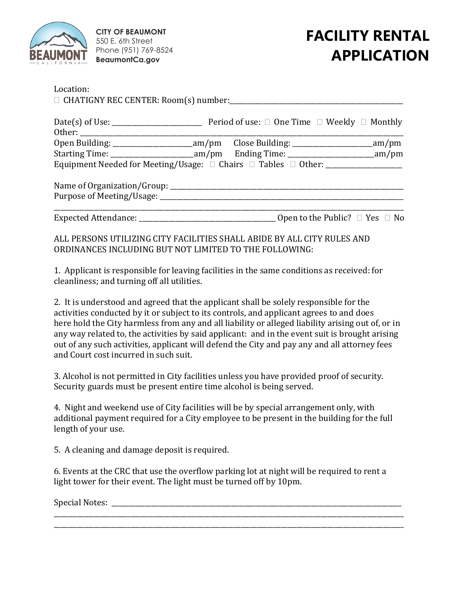

**CITY OF BEAUMONT** 550 E. 6th Street Phone (951) 769-8524 **BeaumontCa.gov**

# **FACILITY RENTAL APPLICATION**

|  | Open to the Public? $\Box$ Yes $\Box$ No                                         |
|--|----------------------------------------------------------------------------------|
|  | Equipment Needed for Meeting/Usage: □ Chairs □ Tables □ Other: _________________ |

ALL PERSONS UTILIZING CITY FACILITIES SHALL ABIDE BY ALL CITY RULES AND ORDINANCES INCLUDING BUT NOT LIMITED TO THE FOLLOWING:

1. Applicant is responsible for leaving facilities in the same conditions as received: for cleanliness; and turning off all utilities.

2. It is understood and agreed that the applicant shall be solely responsible for the activities conducted by it or subject to its controls, and applicant agrees to and does here hold the City harmless from any and all liability or alleged liability arising out of, or in any way related to, the activities by said applicant: and in the event suit is brought arising out of any such activities, applicant will defend the City and pay any and all attorney fees and Court cost incurred in such suit.

3. Alcohol is not permitted in City facilities unless you have provided proof of security. Security guards must be present entire time alcohol is being served.

4. Night and weekend use of City facilities will be by special arrangement only, with additional payment required for a City employee to be present in the building for the full length of your use.

5. A cleaning and damage deposit is required.

6. Events at the CRC that use the overflow parking lot at night will be required to rent a light tower for their event. The light must be turned off by 10pm.

\_\_\_\_\_\_\_\_\_\_\_\_\_\_\_\_\_\_\_\_\_\_\_\_\_\_\_\_\_\_\_\_\_\_\_\_\_\_\_\_\_\_\_\_\_\_\_\_\_\_\_\_\_\_\_\_\_\_\_\_\_\_\_\_\_\_\_\_\_\_\_\_\_\_\_\_\_\_\_\_\_\_\_\_\_\_\_\_\_\_\_\_\_\_\_\_\_\_\_\_\_\_\_\_\_ \_\_\_\_\_\_\_\_\_\_\_\_\_\_\_\_\_\_\_\_\_\_\_\_\_\_\_\_\_\_\_\_\_\_\_\_\_\_\_\_\_\_\_\_\_\_\_\_\_\_\_\_\_\_\_\_\_\_\_\_\_\_\_\_\_\_\_\_\_\_\_\_\_\_\_\_\_\_\_\_\_\_\_\_\_\_\_\_\_\_\_\_\_\_\_\_\_\_\_\_\_\_\_\_\_

Special Notes: \_\_\_\_\_\_\_\_\_\_\_\_\_\_\_\_\_\_\_\_\_\_\_\_\_\_\_\_\_\_\_\_\_\_\_\_\_\_\_\_\_\_\_\_\_\_\_\_\_\_\_\_\_\_\_\_\_\_\_\_\_\_\_\_\_\_\_\_\_\_\_\_\_\_\_\_\_\_\_\_\_\_\_\_\_\_\_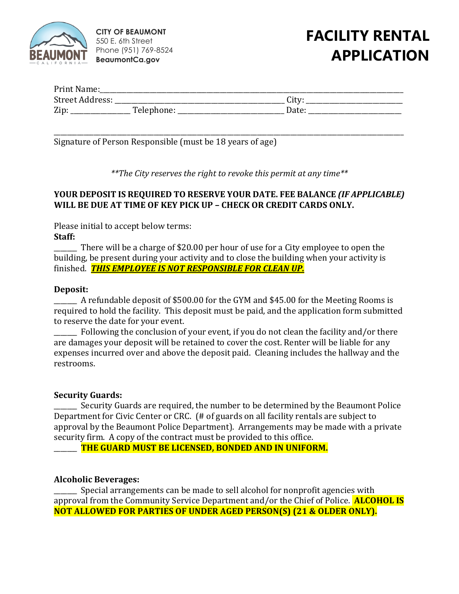

**CITY OF BEAUMONT** 550 E. 6th Street Phone (951) 769-8524 **BeaumontCa.gov**

### **FACILITY RENTAL APPLICATION**

| Print Name:     |            |       |  |
|-----------------|------------|-------|--|
| Street Address: |            | City  |  |
| Zip             | Telephone: | Date: |  |

\_\_\_\_\_\_\_\_\_\_\_\_\_\_\_\_\_\_\_\_\_\_\_\_\_\_\_\_\_\_\_\_\_\_\_\_\_\_\_\_\_\_\_\_\_\_\_\_\_\_\_\_\_\_\_\_\_\_\_\_\_\_\_\_\_\_\_\_\_\_\_\_\_\_\_\_\_\_\_\_\_\_\_\_\_\_\_\_\_\_\_\_\_\_\_\_\_\_\_\_\_\_\_\_\_ Signature of Person Responsible (must be 18 years of age)

*\*\*The City reserves the right to revoke this permit at any time\*\**

### **YOUR DEPOSIT IS REQUIRED TO RESERVE YOUR DATE. FEE BALANCE** *(IF APPLICABLE)*  **WILL BE DUE AT TIME OF KEY PICK UP – CHECK OR CREDIT CARDS ONLY.**

Please initial to accept below terms: **Staff:** 

\_\_\_\_\_\_\_ There will be a charge of \$20.00 per hour of use for a City employee to open the building, be present during your activity and to close the building when your activity is finished. *THIS EMPLOYEE IS NOT RESPONSIBLE FOR CLEAN UP.* 

### **Deposit:**

A refundable deposit of \$500.00 for the GYM and \$45.00 for the Meeting Rooms is required to hold the facility. This deposit must be paid, and the application form submitted to reserve the date for your event.

Following the conclusion of your event, if you do not clean the facility and/or there are damages your deposit will be retained to cover the cost. Renter will be liable for any expenses incurred over and above the deposit paid. Cleaning includes the hallway and the restrooms.

#### **Security Guards:**

Security Guards are required, the number to be determined by the Beaumont Police Department for Civic Center or CRC. (# of guards on all facility rentals are subject to approval by the Beaumont Police Department). Arrangements may be made with a private security firm. A copy of the contract must be provided to this office.

\_\_\_\_\_\_\_ **THE GUARD MUST BE LICENSED, BONDED AND IN UNIFORM.**

### **Alcoholic Beverages:**

\_\_\_\_\_\_\_ Special arrangements can be made to sell alcohol for nonprofit agencies with approval from the Community Service Department and/or the Chief of Police. **ALCOHOL IS NOT ALLOWED FOR PARTIES OF UNDER AGED PERSON(S) (21 & OLDER ONLY).**